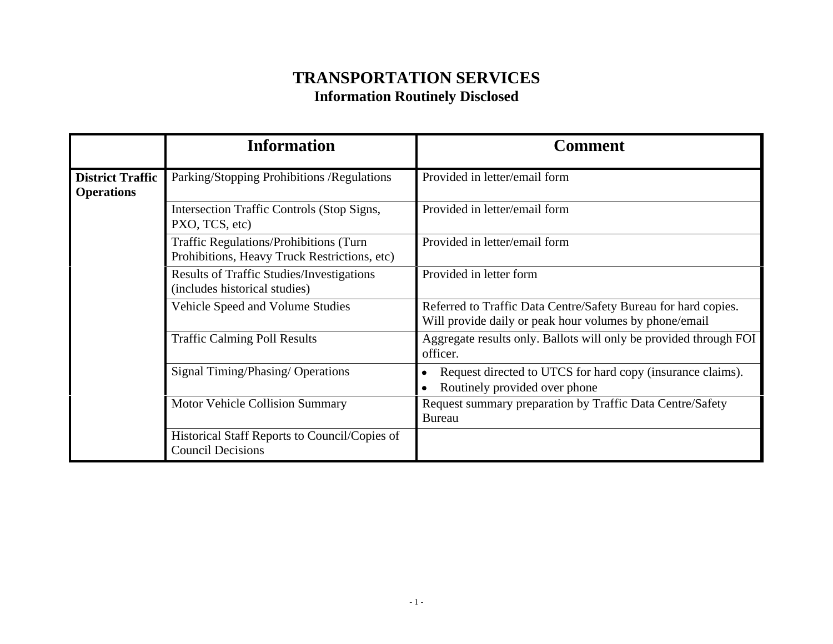| <b>TRANSPORTATION SERVICES</b><br><b>Information Routinely Disclosed</b>               |                                                                                                                          |
|----------------------------------------------------------------------------------------|--------------------------------------------------------------------------------------------------------------------------|
| <b>Information</b>                                                                     | <b>Comment</b>                                                                                                           |
|                                                                                        | Provided in letter/email form                                                                                            |
| Intersection Traffic Controls (Stop Signs,<br>PXO, TCS, etc)                           | Provided in letter/email form                                                                                            |
| Traffic Regulations/Prohibitions (Turn<br>Prohibitions, Heavy Truck Restrictions, etc) | Provided in letter/email form                                                                                            |
| <b>Results of Traffic Studies/Investigations</b><br>(includes historical studies)      | Provided in letter form                                                                                                  |
| Vehicle Speed and Volume Studies                                                       | Referred to Traffic Data Centre/Safety Bureau for hard copies.<br>Will provide daily or peak hour volumes by phone/email |
| <b>Traffic Calming Poll Results</b>                                                    | Aggregate results only. Ballots will only be provided through FOI<br>officer.                                            |
| Signal Timing/Phasing/ Operations                                                      | Request directed to UTCS for hard copy (insurance claims).<br>• Routinely provided over phone                            |
| Motor Vehicle Collision Summary                                                        | Request summary preparation by Traffic Data Centre/Safety<br>Bureau                                                      |
| Historical Staff Reports to Council/Copies of<br><b>Council Decisions</b>              |                                                                                                                          |
|                                                                                        |                                                                                                                          |
|                                                                                        |                                                                                                                          |
|                                                                                        |                                                                                                                          |
|                                                                                        |                                                                                                                          |
|                                                                                        | <b>District Traffic</b> Parking/Stopping Prohibitions /Regulations<br>$-1-$                                              |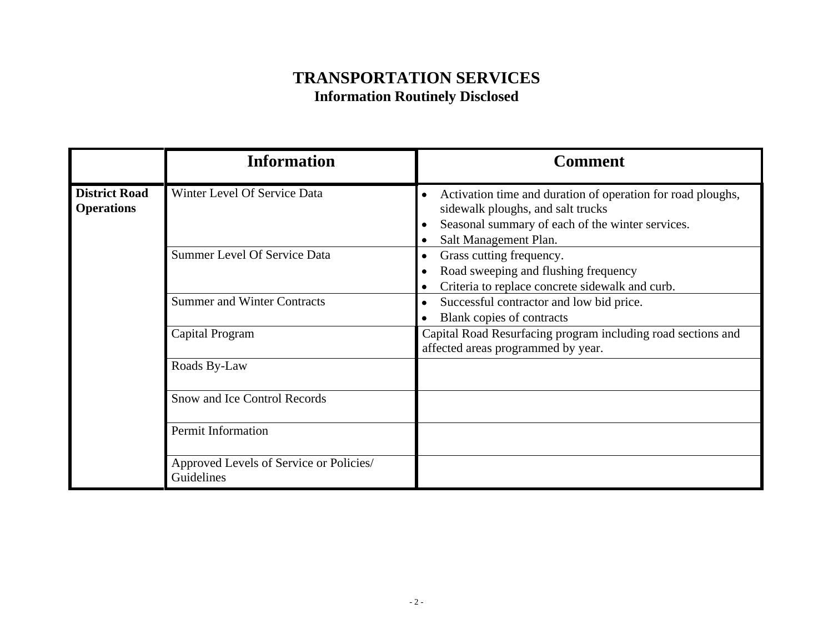|                                           | <b>TRANSPORTATION SERVICES</b><br><b>Information Routinely Disclosed</b> |                                                                                                                                                                               |
|-------------------------------------------|--------------------------------------------------------------------------|-------------------------------------------------------------------------------------------------------------------------------------------------------------------------------|
|                                           | <b>Information</b>                                                       | <b>Comment</b>                                                                                                                                                                |
| <b>District Road</b><br><b>Operations</b> | Winter Level Of Service Data                                             | Activation time and duration of operation for road ploughs,<br>sidewalk ploughs, and salt trucks<br>Seasonal summary of each of the winter services.<br>Salt Management Plan. |
|                                           | Summer Level Of Service Data                                             | Grass cutting frequency.<br>Road sweeping and flushing frequency<br>Criteria to replace concrete sidewalk and curb.                                                           |
|                                           | <b>Summer and Winter Contracts</b>                                       | Successful contractor and low bid price.<br>Blank copies of contracts                                                                                                         |
|                                           | Capital Program                                                          | Capital Road Resurfacing program including road sections and<br>affected areas programmed by year.                                                                            |
|                                           | Roads By-Law                                                             |                                                                                                                                                                               |
|                                           | Snow and Ice Control Records                                             |                                                                                                                                                                               |
|                                           | Permit Information                                                       |                                                                                                                                                                               |
|                                           | Approved Levels of Service or Policies/<br>Guidelines                    |                                                                                                                                                                               |
|                                           |                                                                          |                                                                                                                                                                               |
|                                           |                                                                          | $-2-$                                                                                                                                                                         |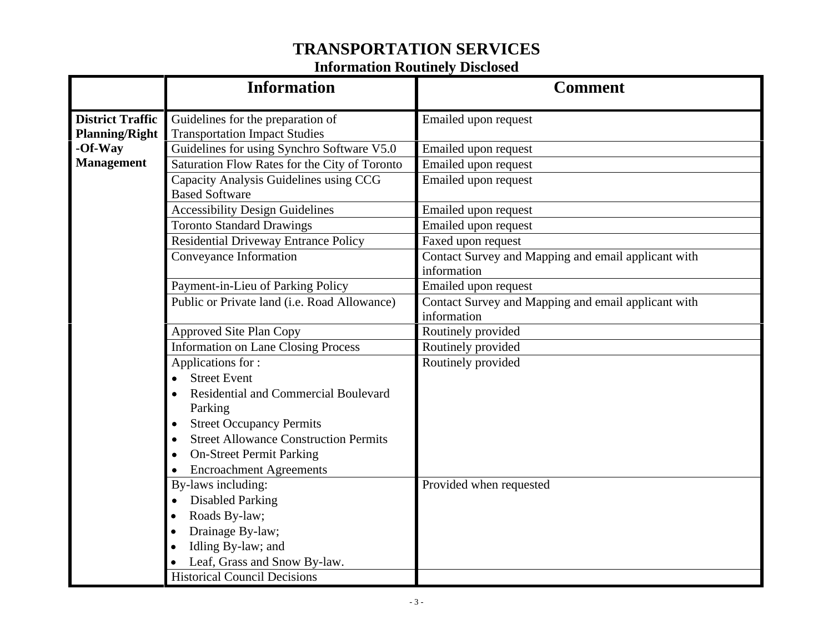|                   | <b>TRANSPORTATION SERVICES</b>                                                           |                                                                    |  |
|-------------------|------------------------------------------------------------------------------------------|--------------------------------------------------------------------|--|
|                   | <b>Information Routinely Disclosed</b>                                                   |                                                                    |  |
|                   | <b>Information</b>                                                                       | <b>Comment</b>                                                     |  |
| District Traffic  | Guidelines for the preparation of<br><b>Planning/Right</b> Transportation Impact Studies | Emailed upon request                                               |  |
| -Of-Way           | Guidelines for using Synchro Software V5.0                                               | Emailed upon request                                               |  |
| <b>Management</b> | Saturation Flow Rates for the City of Toronto                                            | Emailed upon request                                               |  |
|                   | Capacity Analysis Guidelines using CCG<br><b>Based Software</b>                          | Emailed upon request                                               |  |
|                   | <b>Accessibility Design Guidelines</b>                                                   | Emailed upon request                                               |  |
|                   | <b>Toronto Standard Drawings</b>                                                         | Emailed upon request                                               |  |
|                   | <b>Residential Driveway Entrance Policy</b>                                              | Faxed upon request                                                 |  |
|                   | Conveyance Information                                                                   | Contact Survey and Mapping and email applicant with<br>information |  |
|                   | Payment-in-Lieu of Parking Policy                                                        | Emailed upon request                                               |  |
|                   | Public or Private land (i.e. Road Allowance)                                             | Contact Survey and Mapping and email applicant with<br>information |  |
|                   | Approved Site Plan Copy                                                                  | Routinely provided                                                 |  |
|                   | <b>Information on Lane Closing Process</b>                                               | Routinely provided                                                 |  |
|                   | Applications for:                                                                        | Routinely provided                                                 |  |
|                   | <b>Street Event</b>                                                                      |                                                                    |  |
|                   | <b>Residential and Commercial Boulevard</b>                                              |                                                                    |  |
|                   | Parking                                                                                  |                                                                    |  |
|                   | <b>Street Occupancy Permits</b>                                                          |                                                                    |  |
|                   | <b>Street Allowance Construction Permits</b>                                             |                                                                    |  |
|                   | <b>On-Street Permit Parking</b>                                                          |                                                                    |  |
|                   | <b>Encroachment Agreements</b>                                                           |                                                                    |  |
|                   | By-laws including:                                                                       | Provided when requested                                            |  |
|                   | • Disabled Parking                                                                       |                                                                    |  |
|                   | • Roads By-law;                                                                          |                                                                    |  |
|                   | Drainage By-law;                                                                         |                                                                    |  |
|                   | Idling By-law; and                                                                       |                                                                    |  |
|                   | Leaf, Grass and Snow By-law.                                                             |                                                                    |  |
|                   | <b>Historical Council Decisions</b>                                                      |                                                                    |  |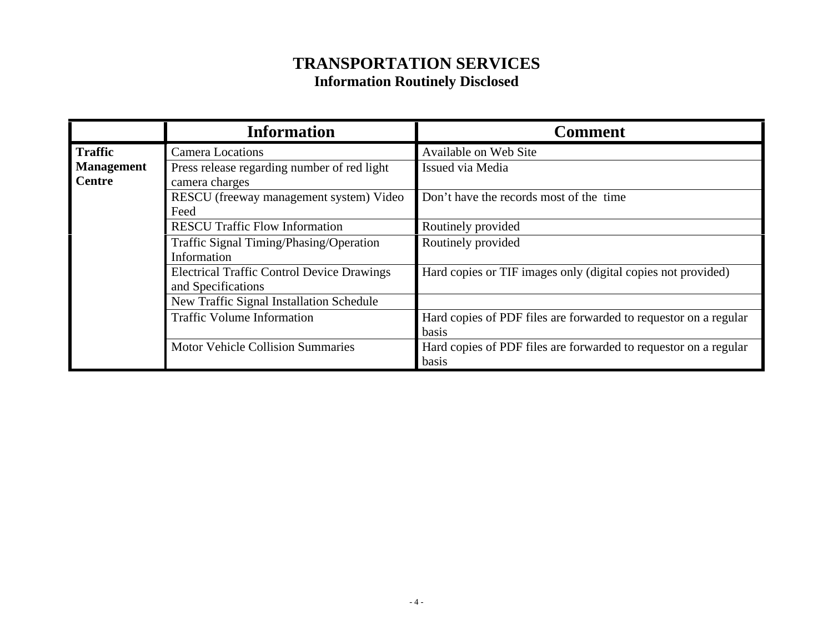| <b>Information</b>                                                                                                                                                                                                                                                                | <b>Comment</b>                                                                                                                                                                                                |
|-----------------------------------------------------------------------------------------------------------------------------------------------------------------------------------------------------------------------------------------------------------------------------------|---------------------------------------------------------------------------------------------------------------------------------------------------------------------------------------------------------------|
| Traffic<br>Camera Locations<br><b>Management</b><br>Press release regarding number of red light<br>Centre<br>camera charges<br>RESCU (freeway management system) Video<br>Feed<br><b>RESCU Traffic Flow Information</b><br>Traffic Signal Timing/Phasing/Operation<br>Information | Available on Web Site<br>Issued via Media<br>Don't have the records most of the time<br>Routinely provided<br>Routinely provided                                                                              |
| <b>Electrical Traffic Control Device Drawings</b><br>and Specifications<br>New Traffic Signal Installation Schedule<br>Traffic Volume Information<br>Motor Vehicle Collision Summaries                                                                                            | Hard copies or TIF images only (digital copies not provided)<br>Hard copies of PDF files are forwarded to requestor on a regular<br>basis<br>Hard copies of PDF files are forwarded to requestor on a regular |